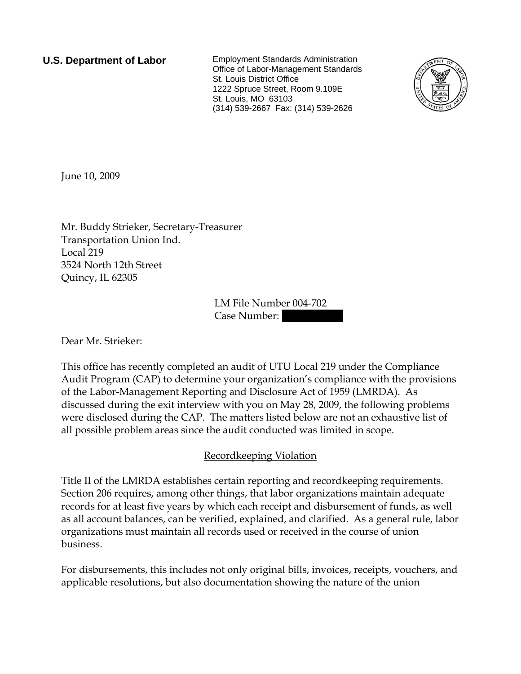**U.S. Department of Labor** Employment Standards Administration Office of Labor-Management Standards St. Louis District Office 1222 Spruce Street, Room 9.109E St. Louis, MO 63103 (314) 539-2667 Fax: (314) 539-2626



June 10, 2009

Mr. Buddy Strieker, Secretary-Treasurer Transportation Union Ind. Local 219 3524 North 12th Street Quincy, IL 62305

> LM File Number 004-702 Case Number:

Dear Mr. Strieker:

This office has recently completed an audit of UTU Local 219 under the Compliance Audit Program (CAP) to determine your organization's compliance with the provisions of the Labor-Management Reporting and Disclosure Act of 1959 (LMRDA). As discussed during the exit interview with you on May 28, 2009, the following problems were disclosed during the CAP. The matters listed below are not an exhaustive list of all possible problem areas since the audit conducted was limited in scope.

## Recordkeeping Violation

Title II of the LMRDA establishes certain reporting and recordkeeping requirements. Section 206 requires, among other things, that labor organizations maintain adequate records for at least five years by which each receipt and disbursement of funds, as well as all account balances, can be verified, explained, and clarified. As a general rule, labor organizations must maintain all records used or received in the course of union business.

For disbursements, this includes not only original bills, invoices, receipts, vouchers, and applicable resolutions, but also documentation showing the nature of the union